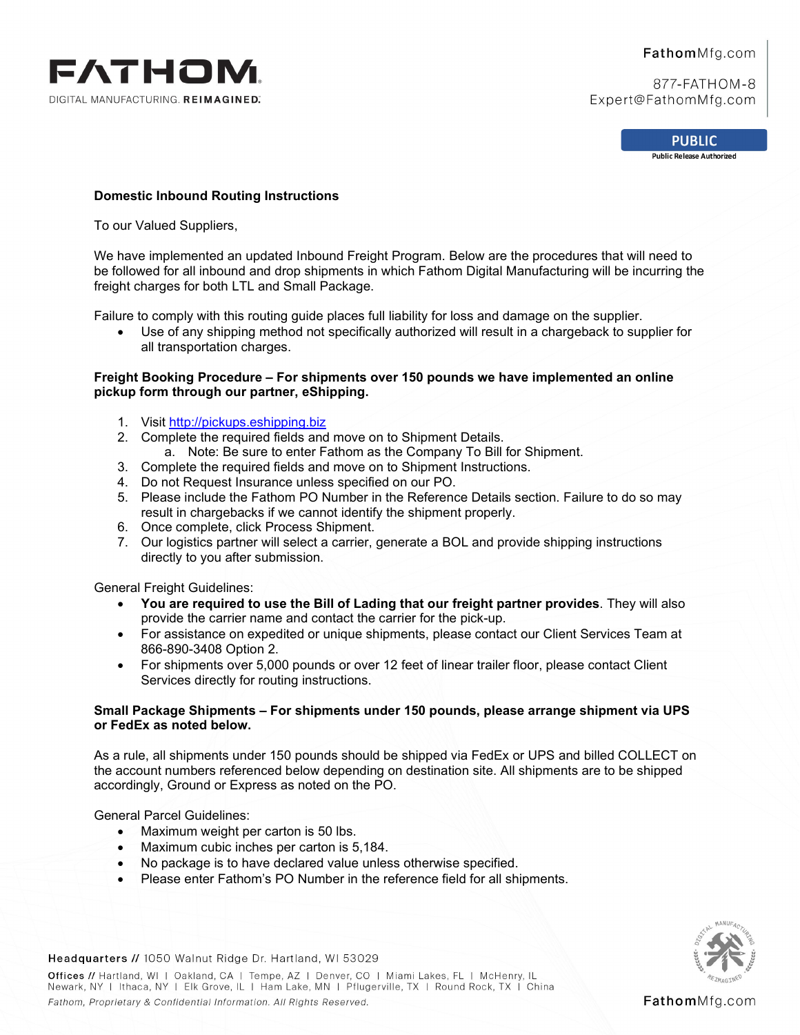

## FathomMfg.com

877-FATHOM-8 Expert@FathomMfg.com

> **PUBLIC Public Release Authorized**

## **Domestic Inbound Routing Instructions**

To our Valued Suppliers,

We have implemented an updated Inbound Freight Program. Below are the procedures that will need to be followed for all inbound and drop shipments in which Fathom Digital Manufacturing will be incurring the freight charges for both LTL and Small Package.

Failure to comply with this routing guide places full liability for loss and damage on the supplier.

• Use of any shipping method not specifically authorized will result in a chargeback to supplier for all transportation charges.

## **Freight Booking Procedure – For shipments over 150 pounds we have implemented an online pickup form through our partner, eShipping.**

- 1. Visit [http://pickups.eshipping.biz](http://pickups.eshipping.biz/)
- 2. Complete the required fields and move on to Shipment Details.
	- a. Note: Be sure to enter Fathom as the Company To Bill for Shipment.
- 3. Complete the required fields and move on to Shipment Instructions.
- 4. Do not Request Insurance unless specified on our PO.
- 5. Please include the Fathom PO Number in the Reference Details section. Failure to do so may result in chargebacks if we cannot identify the shipment properly.
- 6. Once complete, click Process Shipment.
- 7. Our logistics partner will select a carrier, generate a BOL and provide shipping instructions directly to you after submission.

General Freight Guidelines:

- **You are required to use the Bill of Lading that our freight partner provides**. They will also provide the carrier name and contact the carrier for the pick-up.
- For assistance on expedited or unique shipments, please contact our Client Services Team at 866-890-3408 Option 2.
- For shipments over 5,000 pounds or over 12 feet of linear trailer floor, please contact Client Services directly for routing instructions.

#### **Small Package Shipments – For shipments under 150 pounds, please arrange shipment via UPS or FedEx as noted below.**

As a rule, all shipments under 150 pounds should be shipped via FedEx or UPS and billed COLLECT on the account numbers referenced below depending on destination site. All shipments are to be shipped accordingly, Ground or Express as noted on the PO.

General Parcel Guidelines:

- Maximum weight per carton is 50 lbs.
- Maximum cubic inches per carton is 5,184.
- No package is to have declared value unless otherwise specified.
- Please enter Fathom's PO Number in the reference field for all shipments.



Headquarters // 1050 Walnut Ridge Dr. Hartland, WI 53029

Offices // Hartland, WI | Oakland, CA | Tempe, AZ | Denver, CO | Miami Lakes, FL | McHenry, IL Newark, NY | Ithaca, NY | Elk Grove, IL | Ham Lake, MN | Pflugerville, TX | Round Rock, TX | China Fathom, Proprietary & Confidential Information. All Rights Reserved.

FathomMfg.com